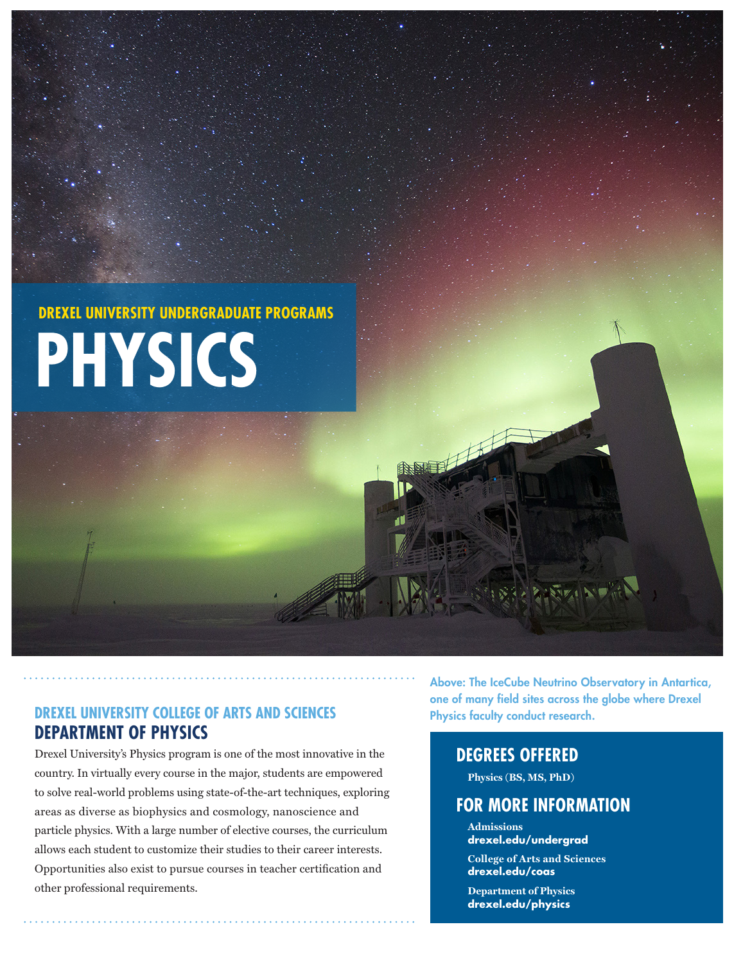# **PHYSICS DREXEL UNIVERSITY UNDERGRADUATE PROGRAMS**

## **DREXEL UNIVERSITY COLLEGE OF ARTS AND SCIENCES DEPARTMENT OF PHYSICS**

Drexel University's Physics program is one of the most innovative in the country. In virtually every course in the major, students are empowered to solve real-world problems using state-of-the-art techniques, exploring areas as diverse as biophysics and cosmology, nanoscience and particle physics. With a large number of elective courses, the curriculum allows each student to customize their studies to their career interests. Opportunities also exist to pursue courses in teacher certification and other professional requirements.

Above: The IceCube Neutrino Observatory in Antartica, one of many field sites across the globe where Drexel Physics faculty conduct research.

## **DEGREES OFFERED**

油厂

**Physics (BS, MS, PhD)**

# **FOR MORE INFORMATION**

**Admissions drexel.edu/undergrad**

**College of Arts and Sciences drexel.edu/coas** 

**Department of Physics drexel.edu/physics**